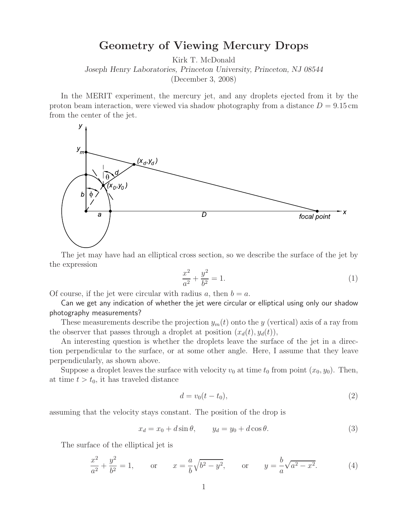**Geometry** of *Chances* Constructed Mercury Drops<br>
Kirk T. McDonald

*Joseph Henry Laboratories, Princeton University, Princeton, NJ 08544*

(December 3, 2008)

In the MERIT experiment, the mercury jet, and any droplets ejected from it by the proton beam interaction, were viewed via shadow photography from a distance  $D = 9.15$  cm from the center of the jet.



The jet may have had an elliptical cross section, so we describe the surface of the jet by the expression

$$
\frac{x^2}{a^2} + \frac{y^2}{b^2} = 1.
$$
 (1)

Of course, if the jet were circular with radius a, then  $b = a$ .

Can we get any indication of whether the jet were circular or elliptical using only our shadow photography measurements?

These measurements describe the projection  $y_m(t)$  onto the y (vertical) axis of a ray from the observer that passes through a droplet at position  $(x_d(t), y_d(t))$ ,

An interesting question is whether the droplets leave the surface of the jet in a direction perpendicular to the surface, or at some other angle. Here, I assume that they leave perpendicularly, as shown above.

Suppose a droplet leaves the surface with velocity  $v_0$  at time  $t_0$  from point  $(x_0, y_0)$ . Then, at time  $t > t_0$ , it has traveled distance

$$
d = v_0(t - t_0),\tag{2}
$$

assuming that the velocity stays constant. The position of the drop is

$$
x_d = x_0 + d\sin\theta, \qquad y_d = y_0 + d\cos\theta. \tag{3}
$$

The surface of the elliptical jet is

$$
\frac{x^2}{a^2} + \frac{y^2}{b^2} = 1, \quad \text{or} \quad x = \frac{a}{b}\sqrt{b^2 - y^2}, \quad \text{or} \quad y = \frac{b}{a}\sqrt{a^2 - x^2}.
$$
 (4)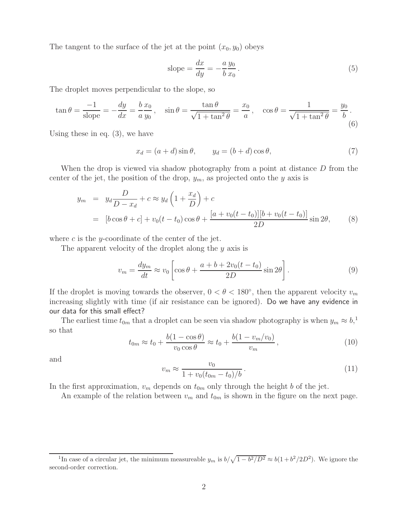The tangent to the surface of the jet at the point  $(x_0, y_0)$  obeys

slope = 
$$
\frac{dx}{dy} = -\frac{a y_0}{b x_0}
$$
. (5)

The droplet moves perpendicular to the slope, so

$$
\tan \theta = \frac{-1}{\text{slope}} = -\frac{dy}{dx} = \frac{b x_0}{a y_0}, \quad \sin \theta = \frac{\tan \theta}{\sqrt{1 + \tan^2 \theta}} = \frac{x_0}{a}, \quad \cos \theta = \frac{1}{\sqrt{1 + \tan^2 \theta}} = \frac{y_0}{b}.
$$
\n(6)

Using these in eq. (3), we have

$$
x_d = (a+d)\sin\theta, \qquad y_d = (b+d)\cos\theta,\tag{7}
$$

When the drop is viewed via shadow photography from a point at distance D from the center of the jet, the position of the drop,  $y_m$ , as projected onto the y axis is

$$
y_m = y_d \frac{D}{D - x_d} + c \approx y_d \left( 1 + \frac{x_d}{D} \right) + c
$$
  
= 
$$
[b \cos \theta + c] + v_0 (t - t_0) \cos \theta + \frac{[a + v_0 (t - t_0)][b + v_0 (t - t_0)]}{2D} \sin 2\theta,
$$
 (8)

where  $c$  is the y-coordinate of the center of the jet.

The apparent velocity of the droplet along the y axis is

$$
v_m = \frac{dy_m}{dt} \approx v_0 \left[ \cos \theta + \frac{a + b + 2v_0(t - t_0)}{2D} \sin 2\theta \right].
$$
 (9)

If the droplet is moving towards the observer,  $0 < \theta < 180^{\circ}$ , then the apparent velocity  $v_m$ increasing slightly with time (if air resistance can be ignored). Do we have any evidence in our data for this small effect?

The earliest time  $t_{0m}$  that a droplet can be seen via shadow photography is when  $y_m \approx b$ <sup>1</sup>, so that

$$
t_{0m} \approx t_0 + \frac{b(1 - \cos \theta)}{v_0 \cos \theta} \approx t_0 + \frac{b(1 - v_m/v_0)}{v_m},
$$
\n(10)

and

$$
v_m \approx \frac{v_0}{1 + v_0 (t_{0m} - t_0)/b} \,. \tag{11}
$$

In the first approximation,  $v_m$  depends on  $t_{0m}$  only through the height b of the jet.

An example of the relation between  $v_m$  and  $t_{0m}$  is shown in the figure on the next page.

<sup>&</sup>lt;sup>1</sup>In case of a circular jet, the minimum measureable  $y_m$  is  $b/\sqrt{1-b^2/D^2} \approx b(1+b^2/2D^2)$ . We ignore the second-order correction.